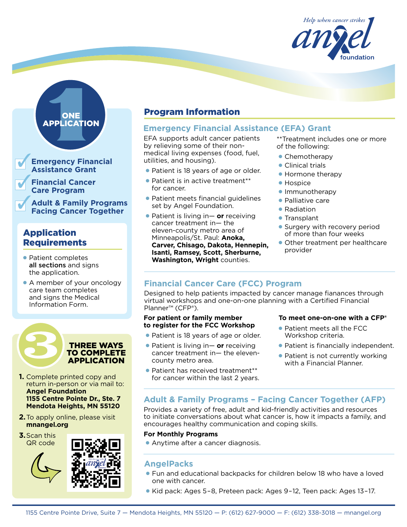



**Adult & Family Programs Facing Cancer Together**

## Application **Requirements**

- Patient completes all sections and signs the application.
- A member of your oncology care team completes and signs the Medical Information Form.



- **1.** Complete printed copy and return in-person or via mail to: **Angel Foundation 1155 Centre Pointe Dr., Ste. 7 Mendota Heights, MN 55120**
- **2.**To apply online, please visit **mnangel.org**
- **3.**Scan this QR code





# ONE **DESCRIPTION Program Information**

## **Emergency Financial Assistance (EFA) Grant**

EFA supports adult cancer patients by relieving some of their nonmedical living expenses (food, fuel, utilities, and housing).

- Patient is 18 years of age or older.
- Patient is in active treatment\*\* for cancer.
- **Patient meets financial guidelines** set by Angel Foundation.
- **Patient is living in— or** receiving cancer treatment in— the eleven-county metro area of Minneapolis/St. Paul: **Anoka, Carver, Chisago, Dakota, Hennepin, Isanti, Ramsey, Scott, Sherburne, Washington, Wright** counties.

### \*\*Treatment includes one or more of the following:

- Chemotherapy
- $\bullet$  Clinical trials
- **Hormone therapy**
- $\bullet$  Hospice
- **Immunotherapy**
- Palliative care
- Radiation
- **Transplant**
- **Surgery with recovery period** of more than four weeks
- **Other treatment per healthcare** provider

# **Financial Cancer Care (FCC) Program**

Designed to help patients impacted by cancer manage fianances through virtual workshops and one-on-one planning with a Certified Financial Planner™ (CFP®).

#### **For patient or family member to register for the FCC Workshop**

- Patient is 18 years of age or older.
- **Patient is living in— or** receiving cancer treatment in— the elevencounty metro area.
- **Patient has received treatment\*\*** for cancer within the last 2 years.

## **To meet one-on-one with a CFP®**

- Patient meets all the FCC Workshop criteria.
- Patient is financially independent.
- Patient is not currently working with a Financial Planner.

# **Adult & Family Programs – Facing Cancer Together (AFP)**

Provides a variety of free, adult and kid-friendly activities and resources to initiate conversations about what cancer is, how it impacts a family, and encourages healthy communication and coping skills.

## **For Monthly Programs**

**Anytime after a cancer diagnosis.** 

## **AngelPacks**

- **Fun and educational backpacks for children below 18 who have a loved** one with cancer.
- <sup>l</sup> Kid pack: Ages 5 – 8, Preteen pack: Ages 9 – 12, Teen pack: Ages 13 – 17.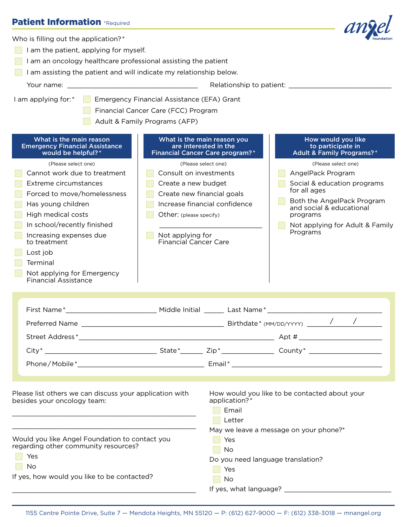

\_\_\_\_\_\_\_\_\_\_\_\_\_\_\_\_\_\_\_\_\_\_\_\_\_\_\_\_\_\_\_\_\_\_\_\_\_\_\_\_\_\_\_\_\_\_\_\_

If yes, what language? \_\_\_\_\_\_\_\_\_\_\_\_\_\_\_\_\_\_\_\_\_\_\_\_\_\_\_

**No**